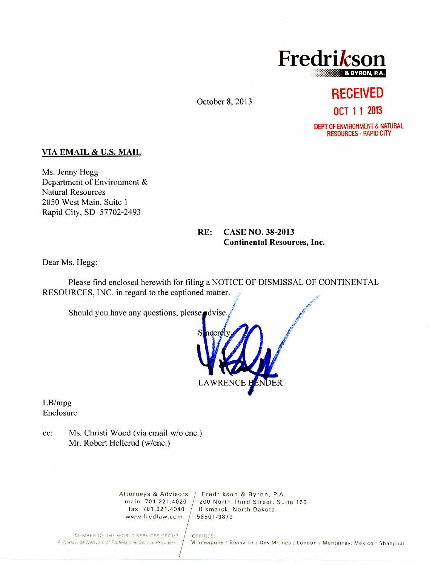

October 8, 2013

# **RECEIVED OCT 1 1 2013**

DEPT OF ENVIRONMENT & NATURAL RESOURCES - RAPID CITY

#### VIA EMAIL & U.S. MAIL

Ms. Jenny Hegg Department of Environment & Natural Resources 2050 West Main, Suite 1 Rapid City, SD 57702-2493

## RE: CASE NO. 38-2013 Continental Resources, Inc.

Dear Ms. Hegg:

Please find enclosed herewith for filing a NOTICE OF DISMISSAL OF CONTINENTAL RESOURCES, INC. in regard to the captioned matter.

Should you have any questions, please advise.



LB/mpg Enclosure

cc: Ms. Christi Wood (via email w/o enc.) Mr. Robert Hellerud (w/enc.)

www.fredlaw.com  $/$  58501-3879

Attorneys & Advisors / Fredrikson & Byron, P.A. main 701.221.4020 / 200 North Third Street, Suite 150 fax 701.221.4040 Bismarck, North Dakota

MEMBER OF THE WORLD SERVICES GROUP | OFFICES:<br>A Worldwide Network of Professional Service Providers | Minneapo

Minneapolis / Bismarck / Des Moines / London / Monterrey, Mexico / Shanghai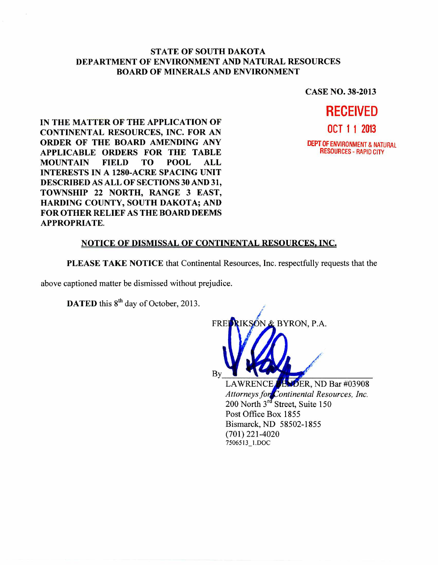#### **STATE OF SOUTH DAKOTA DEPARTMENT OF ENVIRONMENT AND NATURAL RESOURCES BOARD OF MINERALS AND ENVIRONMENT**

**CASE NO. 38-2013** 

**IN THE MATTER OF THE APPLICATION OF CONTINENTAL RESOURCES, INC. FOR AN ORDER OF THE BOARD AMENDING ANY APPLICABLE ORDERS FOR THE TABLE MOUNTAIN FIELD TO POOL ALL INTERESTS IN A 1280-ACRE SPACING UNIT DESCRIBED AS ALL OF SECTIONS 30 AND 31, TOWNSHIP 22 NORTH, RANGE 3 EAST, HARDING COUNTY, SOUTH DAKOTA; AND FOR OTHER RELIEF AS THE BOARD DEEMS APPROPRIATE.** 



## **NOTICE OF DISMISSAL OF CONTINENTAL RESOURCES, INC,**

**PLEASE TAKE NOTICE** that Continental Resources, Inc. respectfully requests that the

above captioned matter be dismissed without prejudice.

**DATED** this  $8<sup>th</sup>$  day of October, 2013.



7506513\_1.DOC